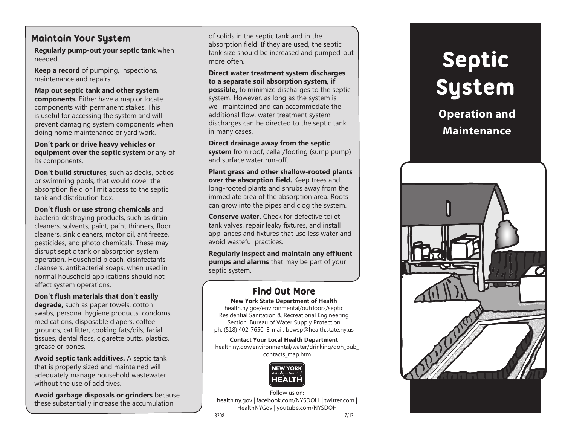## **Maintain Your System**

**Regularly pump-out your septic tank** when needed.

**Keep a record** of pumping, inspections, maintenance and repairs.

**Map out septic tank and other system components.** Either have a map or locate components with permanent stakes. This is useful for accessing the system and will prevent damaging system components when doing home maintenance or yard work.

**Don't park or drive heavy vehicles or equipment over the septic system** or any of its components.

**Don't build structures**, such as decks, patios or swimming pools, that would cover the absorption field or limit access to the septic tank and distribution box.

**Don't flush or use strong chemicals** and bacteria-destroying products, such as drain cleaners, solvents, paint, paint thinners, floor cleaners, sink cleaners, motor oil, antifreeze, pesticides, and photo chemicals. These may disrupt septic tank or absorption system operation. Household bleach, disinfectants, cleansers, antibacterial soaps, when used in normal household applications should not affect system operations.

**Don't flush materials that don't easily degrade,** such as paper towels, cotton swabs, personal hygiene products, condoms, medications, disposable diapers, coffee grounds, cat litter, cooking fats/oils, facial tissues, dental floss, cigarette butts, plastics, grease or bones.

**Avoid septic tank additives.** A septic tank that is properly sized and maintained will adequately manage household wastewater without the use of additives.

**Avoid garbage disposals or grinders** because these substantially increase the accumulation

of solids in the septic tank and in the absorption field. If they are used, the septic tank size should be increased and pumped-out more often.

**Direct water treatment system discharges to a separate soil absorption system, if possible,** to minimize discharges to the septic system. However, as long as the system is well maintained and can accommodate the additional flow, water treatment system discharges can be directed to the septic tank in many cases.

**Direct drainage away from the septic system** from roof, cellar/footing (sump pump) and surface water run-off.

**Plant grass and other shallow-rooted plants over the absorption field.** Keep trees and long-rooted plants and shrubs away from the immediate area of the absorption area. Roots can grow into the pipes and clog the system.

**Conserve water.** Check for defective toilet tank valves, repair leaky fixtures, and install appliances and fixtures that use less water and avoid wasteful practices.

**Regularly inspect and maintain any effluent pumps and alarms** that may be part of your septic system.

## **Find Out More**

**New York State Department of Health** health.ny.gov/environmental/outdoors/septic

Residential Sanitation & Recreational Engineering Section, Bureau of Water Supply Protection ph: (518) 402-7650, E-mail: bpwsp@health.state.ny.us

**Contact Your Local Health Department** health.ny.gov/environmental/water/drinking/doh\_pub\_ contacts\_map.htm



Follow us on: health.ny.gov | facebook.com/NYSDOH | twitter.com | HealthNYGov | youtube.com/NYSDOH 3208 7/13

# **Septic System**

**Operation and Maintenance**